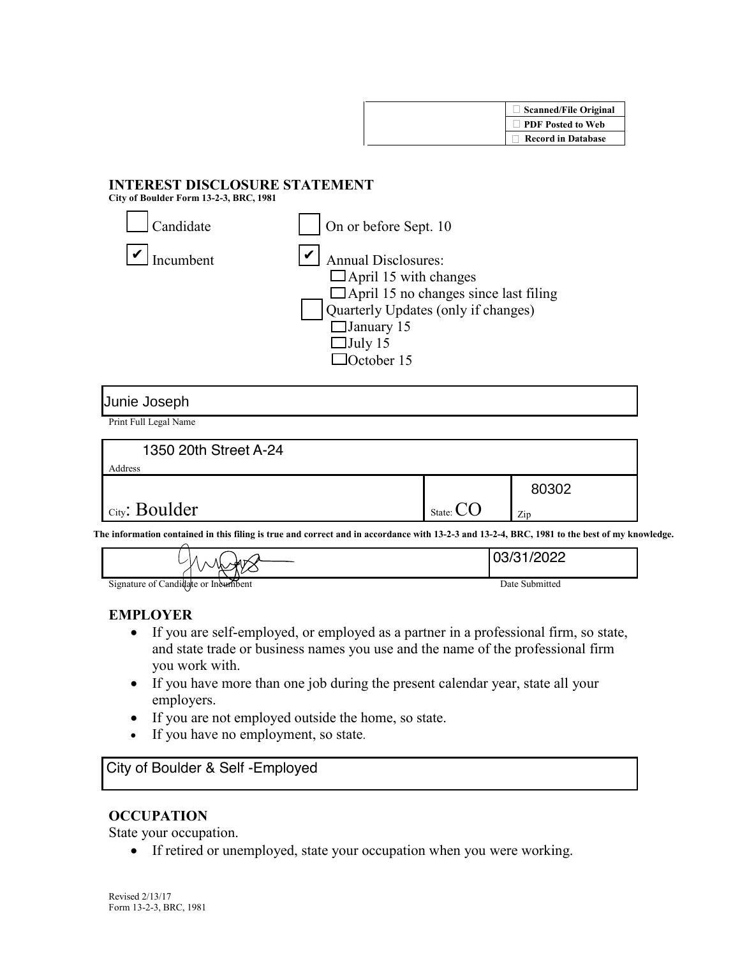

# **INTEREST DISCLOSURE STATEMENT**

**City of Boulder Form 13-2-3, BRC, 1981** 

| Candidate | On or before Sept. 10                                                                                                                                                                                   |
|-----------|---------------------------------------------------------------------------------------------------------------------------------------------------------------------------------------------------------|
| [ncumbent | <b>Annual Disclosures:</b><br>$\Box$ April 15 with changes<br>$\Box$ April 15 no changes since last filing<br>Quarterly Updates (only if changes)<br>$\Box$ January 15<br>$\Box$ July 15<br>TOctober 15 |

#### Junie Joseph

Print Full Legal Name

| 1350 20th Street A-24 |                  |       |
|-----------------------|------------------|-------|
| Address               |                  |       |
|                       |                  | 80302 |
| City: Boulder         | State: $\bigcup$ | Zip   |

**The information contained in this filing is true and correct and in accordance with 13-2-3 and 13-2-4, BRC, 1981 to the best of my knowledge.** 

| ັ                                   | ≻⊶ ⊿1<br>V<br>v<br>$\sim$ $\sim$ | ררחריו ו-ריורח |
|-------------------------------------|----------------------------------|----------------|
| Signature of Candidate or Incumbent |                                  | Date Submitted |

### **EMPLOYER**

- If you are self-employed, or employed as a partner in a professional firm, so state, and state trade or business names you use and the name of the professional firm you work with.
- If you have more than one job during the present calendar year, state all your employers.
- If you are not employed outside the home, so state.
- If you have no employment, so state.

## City of Boulder & Self -Employed

### **OCCUPATION**

State your occupation.

• If retired or unemployed, state your occupation when you were working.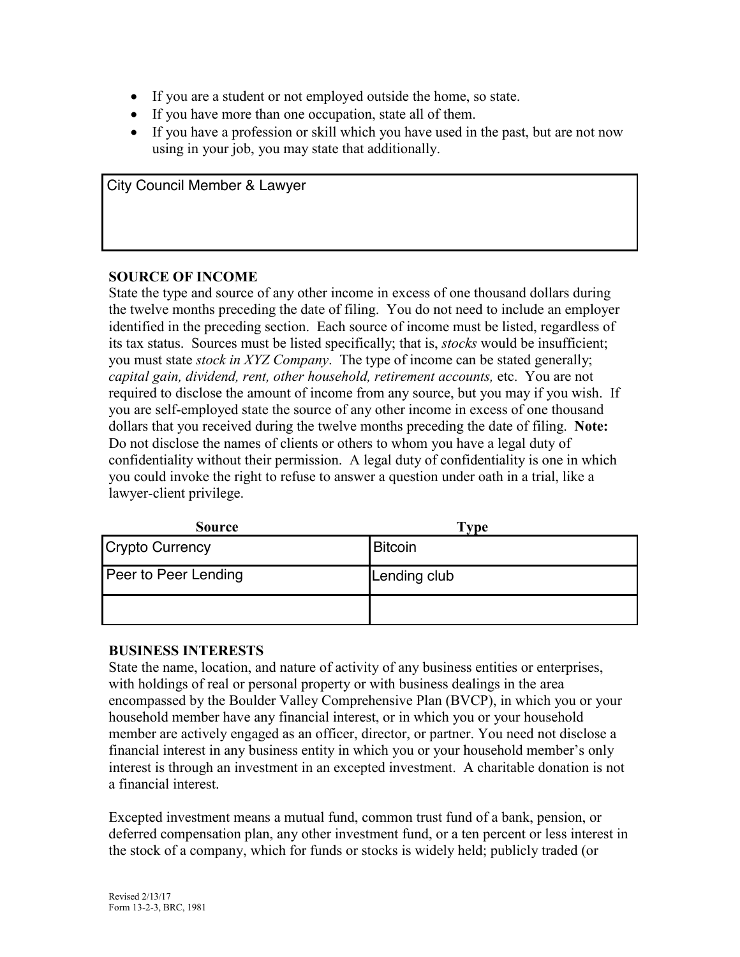- If you are a student or not employed outside the home, so state.
- If you have more than one occupation, state all of them.
- If you have a profession or skill which you have used in the past, but are not now using in your job, you may state that additionally.

City Council Member & Lawyer

#### **SOURCE OF INCOME**

State the type and source of any other income in excess of one thousand dollars during the twelve months preceding the date of filing. You do not need to include an employer identified in the preceding section. Each source of income must be listed, regardless of its tax status. Sources must be listed specifically; that is, *stocks* would be insufficient; you must state *stock in XYZ Company*. The type of income can be stated generally; *capital gain, dividend, rent, other household, retirement accounts,* etc. You are not required to disclose the amount of income from any source, but you may if you wish. If you are self-employed state the source of any other income in excess of one thousand dollars that you received during the twelve months preceding the date of filing. **Note:**  Do not disclose the names of clients or others to whom you have a legal duty of confidentiality without their permission. A legal duty of confidentiality is one in which you could invoke the right to refuse to answer a question under oath in a trial, like a lawyer-client privilege.

| <b>Source</b>          | Type           |
|------------------------|----------------|
| <b>Crypto Currency</b> | <b>Bitcoin</b> |
| Peer to Peer Lending   | Lending club   |
|                        |                |

### **BUSINESS INTERESTS**

State the name, location, and nature of activity of any business entities or enterprises, with holdings of real or personal property or with business dealings in the area encompassed by the Boulder Valley Comprehensive Plan (BVCP), in which you or your household member have any financial interest, or in which you or your household member are actively engaged as an officer, director, or partner. You need not disclose a financial interest in any business entity in which you or your household member's only interest is through an investment in an excepted investment. A charitable donation is not a financial interest.

Excepted investment means a mutual fund, common trust fund of a bank, pension, or deferred compensation plan, any other investment fund, or a ten percent or less interest in the stock of a company, which for funds or stocks is widely held; publicly traded (or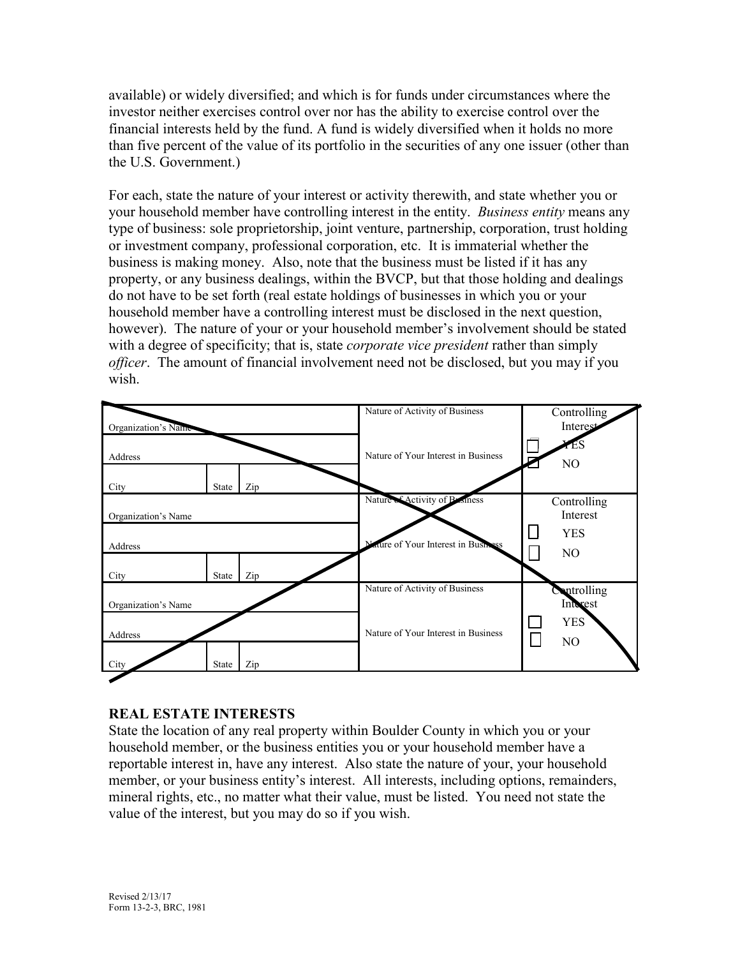available) or widely diversified; and which is for funds under circumstances where the investor neither exercises control over nor has the ability to exercise control over the financial interests held by the fund. A fund is widely diversified when it holds no more than five percent of the value of its portfolio in the securities of any one issuer (other than the U.S. Government.)

For each, state the nature of your interest or activity therewith, and state whether you or your household member have controlling interest in the entity. *Business entity* means any type of business: sole proprietorship, joint venture, partnership, corporation, trust holding or investment company, professional corporation, etc. It is immaterial whether the business is making money. Also, note that the business must be listed if it has any property, or any business dealings, within the BVCP, but that those holding and dealings do not have to be set forth (real estate holdings of businesses in which you or your household member have a controlling interest must be disclosed in the next question, however). The nature of your or your household member's involvement should be stated with a degree of specificity; that is, state *corporate vice president* rather than simply *officer*. The amount of financial involvement need not be disclosed, but you may if you wish.



### **REAL ESTATE INTERESTS**

State the location of any real property within Boulder County in which you or your household member, or the business entities you or your household member have a reportable interest in, have any interest. Also state the nature of your, your household member, or your business entity's interest. All interests, including options, remainders, mineral rights, etc., no matter what their value, must be listed. You need not state the value of the interest, but you may do so if you wish.